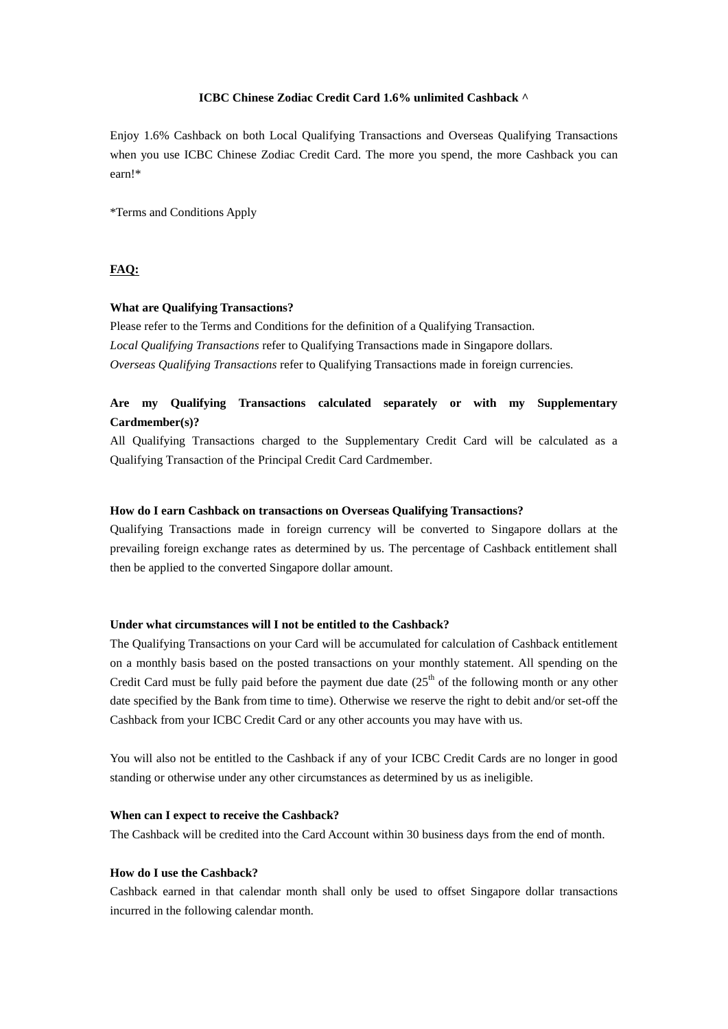# **ICBC Chinese Zodiac Credit Card 1.6% unlimited Cashback ^**

Enjoy 1.6% Cashback on both Local Qualifying Transactions and Overseas Qualifying Transactions when you use ICBC Chinese Zodiac Credit Card. The more you spend, the more Cashback you can earn!\*

\*Terms and Conditions Apply

## **FAQ:**

#### **What are Qualifying Transactions?**

Please refer to the Terms and Conditions for the definition of a Qualifying Transaction. *Local Qualifying Transactions* refer to Qualifying Transactions made in Singapore dollars. *Overseas Qualifying Transactions* refer to Qualifying Transactions made in foreign currencies.

# **Are my Qualifying Transactions calculated separately or with my Supplementary Cardmember(s)?**

All Qualifying Transactions charged to the Supplementary Credit Card will be calculated as a Qualifying Transaction of the Principal Credit Card Cardmember.

## **How do I earn Cashback on transactions on Overseas Qualifying Transactions?**

Qualifying Transactions made in foreign currency will be converted to Singapore dollars at the prevailing foreign exchange rates as determined by us. The percentage of Cashback entitlement shall then be applied to the converted Singapore dollar amount.

## **Under what circumstances will I not be entitled to the Cashback?**

The Qualifying Transactions on your Card will be accumulated for calculation of Cashback entitlement on a monthly basis based on the posted transactions on your monthly statement. All spending on the Credit Card must be fully paid before the payment due date  $(25<sup>th</sup>$  of the following month or any other date specified by the Bank from time to time). Otherwise we reserve the right to debit and/or set-off the Cashback from your ICBC Credit Card or any other accounts you may have with us.

You will also not be entitled to the Cashback if any of your ICBC Credit Cards are no longer in good standing or otherwise under any other circumstances as determined by us as ineligible.

## **When can I expect to receive the Cashback?**

The Cashback will be credited into the Card Account within 30 business days from the end of month.

## **How do I use the Cashback?**

Cashback earned in that calendar month shall only be used to offset Singapore dollar transactions incurred in the following calendar month.